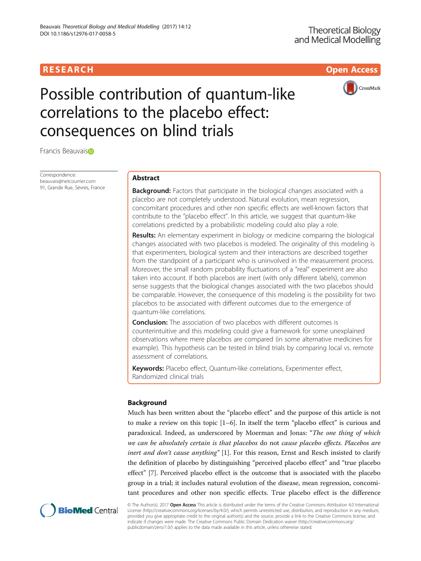R E S EAR CH Open Access



# Possible contribution of quantum-like correlations to the placebo effect: consequences on blind trials

Francis Beauvai[s](http://orcid.org/0000-0002-5567-5924)

Correspondence: [beauvais@netcourrier.com](mailto:beauvais@netcourrier.com) 91, Grande Rue, Sèvres, France

# Abstract

**Background:** Factors that participate in the biological changes associated with a placebo are not completely understood. Natural evolution, mean regression, concomitant procedures and other non specific effects are well-known factors that contribute to the "placebo effect". In this article, we suggest that quantum-like correlations predicted by a probabilistic modeling could also play a role.

**Results:** An elementary experiment in biology or medicine comparing the biological changes associated with two placebos is modeled. The originality of this modeling is that experimenters, biological system and their interactions are described together from the standpoint of a participant who is uninvolved in the measurement process. Moreover, the small random probability fluctuations of a "real" experiment are also taken into account. If both placebos are inert (with only different labels), common sense suggests that the biological changes associated with the two placebos should be comparable. However, the consequence of this modeling is the possibility for two placebos to be associated with different outcomes due to the emergence of quantum-like correlations.

**Conclusion:** The association of two placebos with different outcomes is counterintuitive and this modeling could give a framework for some unexplained observations where mere placebos are compared (in some alternative medicines for example). This hypothesis can be tested in blind trials by comparing local vs. remote assessment of correlations.

Keywords: Placebo effect, Quantum-like correlations, Experimenter effect, Randomized clinical trials

# Background

Much has been written about the "placebo effect" and the purpose of this article is not to make a review on this topic  $[1-6]$  $[1-6]$  $[1-6]$  $[1-6]$ . In itself the term "placebo effect" is curious and paradoxical. Indeed, as underscored by Moerman and Jonas: "The one thing of which we can be absolutely certain is that placebos do not cause placebo effects. Placebos are inert and don't cause anything" [[1\]](#page-15-0). For this reason, Ernst and Resch insisted to clarify the definition of placebo by distinguishing "perceived placebo effect" and "true placebo effect" [\[7](#page-16-0)]. Perceived placebo effect is the outcome that is associated with the placebo group in a trial; it includes natural evolution of the disease, mean regression, concomitant procedures and other non specific effects. True placebo effect is the difference



© The Author(s). 2017 Open Access This article is distributed under the terms of the Creative Commons Attribution 4.0 International License ([http://creativecommons.org/licenses/by/4.0/\)](http://creativecommons.org/licenses/by/4.0/), which permits unrestricted use, distribution, and reproduction in any medium, provided you give appropriate credit to the original author(s) and the source, provide a link to the Creative Commons license, and indicate if changes were made. The Creative Commons Public Domain Dedication waiver ([http://creativecommons.org/](http://creativecommons.org/publicdomain/zero/1.0/) [publicdomain/zero/1.0/\)](http://creativecommons.org/publicdomain/zero/1.0/) applies to the data made available in this article, unless otherwise stated.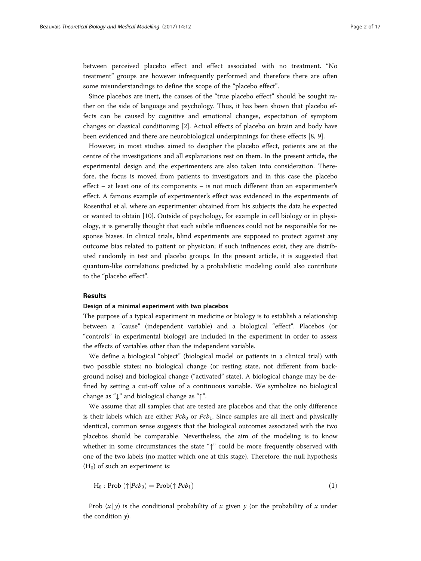between perceived placebo effect and effect associated with no treatment. "No treatment" groups are however infrequently performed and therefore there are often some misunderstandings to define the scope of the "placebo effect".

Since placebos are inert, the causes of the "true placebo effect" should be sought rather on the side of language and psychology. Thus, it has been shown that placebo effects can be caused by cognitive and emotional changes, expectation of symptom changes or classical conditioning [\[2\]](#page-16-0). Actual effects of placebo on brain and body have been evidenced and there are neurobiological underpinnings for these effects [\[8](#page-16-0), [9](#page-16-0)].

However, in most studies aimed to decipher the placebo effect, patients are at the centre of the investigations and all explanations rest on them. In the present article, the experimental design and the experimenters are also taken into consideration. Therefore, the focus is moved from patients to investigators and in this case the placebo effect – at least one of its components – is not much different than an experimenter's effect. A famous example of experimenter's effect was evidenced in the experiments of Rosenthal et al. where an experimenter obtained from his subjects the data he expected or wanted to obtain [[10\]](#page-16-0). Outside of psychology, for example in cell biology or in physiology, it is generally thought that such subtle influences could not be responsible for response biases. In clinical trials, blind experiments are supposed to protect against any outcome bias related to patient or physician; if such influences exist, they are distributed randomly in test and placebo groups. In the present article, it is suggested that quantum-like correlations predicted by a probabilistic modeling could also contribute to the "placebo effect".

# Results

# Design of a minimal experiment with two placebos

The purpose of a typical experiment in medicine or biology is to establish a relationship between a "cause" (independent variable) and a biological "effect". Placebos (or "controls" in experimental biology) are included in the experiment in order to assess the effects of variables other than the independent variable.

We define a biological "object" (biological model or patients in a clinical trial) with two possible states: no biological change (or resting state, not different from background noise) and biological change ("activated" state). A biological change may be defined by setting a cut-off value of a continuous variable. We symbolize no biological change as "↓" and biological change as "↑".

We assume that all samples that are tested are placebos and that the only difference is their labels which are either  $Pcb_0$  or  $Pcb_1$ . Since samples are all inert and physically identical, common sense suggests that the biological outcomes associated with the two placebos should be comparable. Nevertheless, the aim of the modeling is to know whether in some circumstances the state "↑" could be more frequently observed with one of the two labels (no matter which one at this stage). Therefore, the null hypothesis  $(H<sub>0</sub>)$  of such an experiment is:

$$
H_0: Prob(\uparrow|Pcb_0) = Prob(\uparrow|Pcb_1)
$$
\n(1)

Prob  $(x|y)$  is the conditional probability of x given y (or the probability of x under the condition y).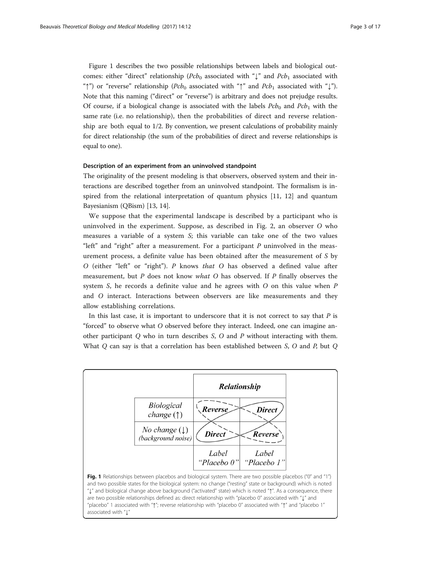<span id="page-2-0"></span>Figure 1 describes the two possible relationships between labels and biological outcomes: either "direct" relationship (Pcb<sub>0</sub> associated with " $\downarrow$ " and Pcb<sub>1</sub> associated with "(")") or "reverse" relationship ( $Pcb_0$  associated with " $\uparrow$ " and  $Pcb_1$  associated with " $\downarrow$ "). Note that this naming ("direct" or "reverse") is arbitrary and does not prejudge results. Of course, if a biological change is associated with the labels  $Pcb_0$  and  $Pcb_1$  with the same rate (i.e. no relationship), then the probabilities of direct and reverse relationship are both equal to 1/2. By convention, we present calculations of probability mainly for direct relationship (the sum of the probabilities of direct and reverse relationships is equal to one).

# Description of an experiment from an uninvolved standpoint

The originality of the present modeling is that observers, observed system and their interactions are described together from an uninvolved standpoint. The formalism is inspired from the relational interpretation of quantum physics [\[11, 12\]](#page-16-0) and quantum Bayesianism (QBism) [[13, 14\]](#page-16-0).

We suppose that the experimental landscape is described by a participant who is uninvolved in the experiment. Suppose, as described in Fig. [2](#page-3-0), an observer O who measures a variable of a system S; this variable can take one of the two values "left" and "right" after a measurement. For a participant  $P$  uninvolved in the measurement process, a definite value has been obtained after the measurement of S by O (either "left" or "right"). P knows that O has observed a defined value after measurement, but  $P$  does not know *what*  $O$  has observed. If  $P$  finally observes the system  $S$ , he records a definite value and he agrees with  $O$  on this value when  $P$ and O interact. Interactions between observers are like measurements and they allow establishing correlations.

In this last case, it is important to underscore that it is not correct to say that  $P$  is "forced" to observe what O observed before they interact. Indeed, one can imagine another participant Q who in turn describes S, O and P without interacting with them. What  $Q$  can say is that a correlation has been established between  $S$ ,  $O$  and  $P$ , but  $Q$ 

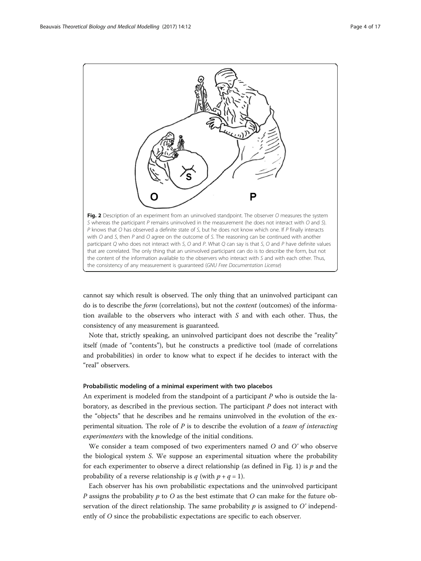<span id="page-3-0"></span>

cannot say which result is observed. The only thing that an uninvolved participant can do is to describe the form (correlations), but not the content (outcomes) of the information available to the observers who interact with  $S$  and with each other. Thus, the consistency of any measurement is guaranteed.

Note that, strictly speaking, an uninvolved participant does not describe the "reality" itself (made of "contents"), but he constructs a predictive tool (made of correlations and probabilities) in order to know what to expect if he decides to interact with the "real" observers.

# Probabilistic modeling of a minimal experiment with two placebos

An experiment is modeled from the standpoint of a participant  $P$  who is outside the laboratory, as described in the previous section. The participant  $P$  does not interact with the "objects" that he describes and he remains uninvolved in the evolution of the experimental situation. The role of  $P$  is to describe the evolution of a team of interacting experimenters with the knowledge of the initial conditions.

We consider a team composed of two experimenters named O and O' who observe the biological system S. We suppose an experimental situation where the probability for each experimenter to observe a direct relationship (as defined in Fig. [1\)](#page-2-0) is  $p$  and the probability of a reverse relationship is q (with  $p + q = 1$ ).

Each observer has his own probabilistic expectations and the uninvolved participant P assigns the probability  $p$  to O as the best estimate that O can make for the future observation of the direct relationship. The same probability  $p$  is assigned to O' independently of O since the probabilistic expectations are specific to each observer.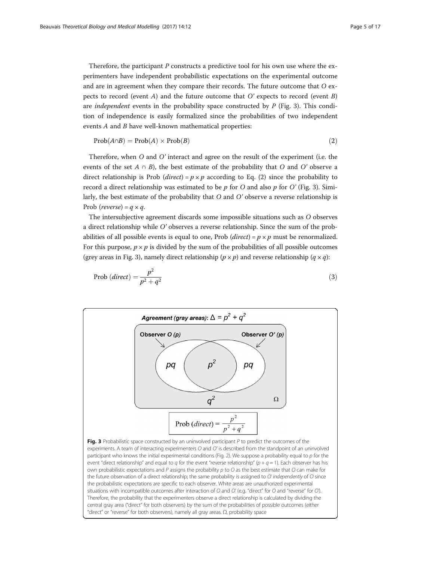<span id="page-4-0"></span>Therefore, the participant  $P$  constructs a predictive tool for his own use where the experimenters have independent probabilistic expectations on the experimental outcome and are in agreement when they compare their records. The future outcome that O expects to record (event A) and the future outcome that  $O'$  expects to record (event B) are *independent* events in the probability space constructed by  $P$  (Fig. 3). This condition of independence is easily formalized since the probabilities of two independent events A and B have well-known mathematical properties:

$$
Prob(A \cap B) = Prob(A) \times Prob(B)
$$
 (2)

Therefore, when O and O' interact and agree on the result of the experiment (i.e. the events of the set  $A \cap B$ ), the best estimate of the probability that O and O' observe a direct relationship is Prob (*direct*) =  $p \times p$  according to Eq. (2) since the probability to record a direct relationship was estimated to be p for O and also p for O' (Fig. 3). Similarly, the best estimate of the probability that O and O' observe a reverse relationship is Prob (reverse) =  $q \times q$ .

The intersubjective agreement discards some impossible situations such as O observes a direct relationship while O' observes a reverse relationship. Since the sum of the probabilities of all possible events is equal to one, Prob (*direct*) =  $p \times p$  must be renormalized. For this purpose,  $p \times p$  is divided by the sum of the probabilities of all possible outcomes (grey areas in Fig. 3), namely direct relationship ( $p \times p$ ) and reverse relationship ( $q \times q$ ):

$$
Prob (direct) = \frac{p^2}{p^2 + q^2}
$$
\n(3)



experiments. A team of interacting experimenters O and O' is described from the standpoint of an uninvolved participant who knows the initial experimental conditions (Fig. [2](#page-3-0)). We suppose a probability equal to p for the event "direct relationship" and equal to q for the event "reverse relationship" ( $p + q = 1$ ). Each observer has his own probabilistic expectations and  $P$  assigns the probability  $p$  to  $O$  as the best estimate that  $O$  can make for the future observation of a direct relationship; the same probability is assigned to  $O'$  independently of  $O$  since the probabilistic expectations are specific to each observer. White areas are unauthorized experimental situations with incompatible outcomes after interaction of O and O' (e.g. "direct" for O and "reverse" for O'). Therefore, the probability that the experimenters observe a direct relationship is calculated by dividing the central gray area ("direct" for both observers) by the sum of the probabilities of possible outcomes (either "direct" or "reverse" for both observers), namely all gray areas. Ω, probability space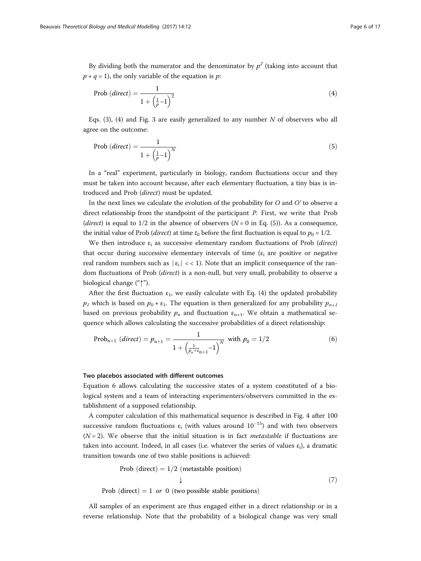<span id="page-5-0"></span>By dividing both the numerator and the denominator by  $p^2$  (taking into account that  $p + q = 1$ , the only variable of the equation is p:

$$
Prob (direct) = \frac{1}{1 + \left(\frac{1}{p} - 1\right)^2}
$$
\n(4)

Eqs.  $(3)$  $(3)$ ,  $(4)$  and Fig. [3](#page-4-0) are easily generalized to any number N of observers who all agree on the outcome:

$$
Prob (direct) = \frac{1}{1 + \left(\frac{1}{p} - 1\right)^N}
$$
\n<sup>(5)</sup>

In a "real" experiment, particularly in biology, random fluctuations occur and they must be taken into account because, after each elementary fluctuation, a tiny bias is introduced and Prob (direct) must be updated.

In the next lines we calculate the evolution of the probability for O and O' to observe a direct relationship from the standpoint of the participant P. First, we write that Prob (direct) is equal to  $1/2$  in the absence of observers ( $N = 0$  in Eq. (5)). As a consequence, the initial value of Prob (*direct*) at time  $t_0$  before the first fluctuation is equal to  $p_0 = 1/2$ .

We then introduce  $\varepsilon_i$  as successive elementary random fluctuations of Prob (*direct*) that occur during successive elementary intervals of time ( $\varepsilon$ <sub>i</sub> are positive or negative real random numbers such as  $|\varepsilon_i| < 1$ ). Note that an implicit consequence of the random fluctuations of Prob (direct) is a non-null, but very small, probability to observe a biological change ("↑").

After the first fluctuation  $\varepsilon_1$ , we easily calculate with Eq. (4) the updated probability  $p_1$  which is based on  $p_0 + \varepsilon_1$ . The equation is then generalized for any probability  $p_{n+1}$ based on previous probability  $p_n$  and fluctuation  $\varepsilon_{n+1}$ . We obtain a mathematical sequence which allows calculating the successive probabilities of a direct relationship:

$$
\text{Prob}_{n+1} \ (direct) = p_{n+1} = \frac{1}{1 + \left(\frac{1}{p_n + \varepsilon_{n+1}} - 1\right)^N} \text{ with } p_0 = 1/2 \tag{6}
$$

# Two placebos associated with different outcomes

Equation 6 allows calculating the successive states of a system constituted of a biological system and a team of interacting experimenters/observers committed in the establishment of a supposed relationship.

A computer calculation of this mathematical sequence is described in Fig. [4](#page-6-0) after 100 successive random fluctuations  $\varepsilon_i$  (with values around 10<sup>-15</sup>) and with two observers  $(N = 2)$ . We observe that the initial situation is in fact *metastable* if fluctuations are taken into account. Indeed, in all cases (i.e. whatever the series of values  $\varepsilon_i$ ), a dramatic transition towards one of two stable positions is achieved:

Prob (direct) = 
$$
1/2
$$
 (metastable position)

\n↓

\n(7)

\nProb (direct) = 1 or 0 (two possible stable positions)

All samples of an experiment are thus engaged either in a direct relationship or in a reverse relationship. Note that the probability of a biological change was very small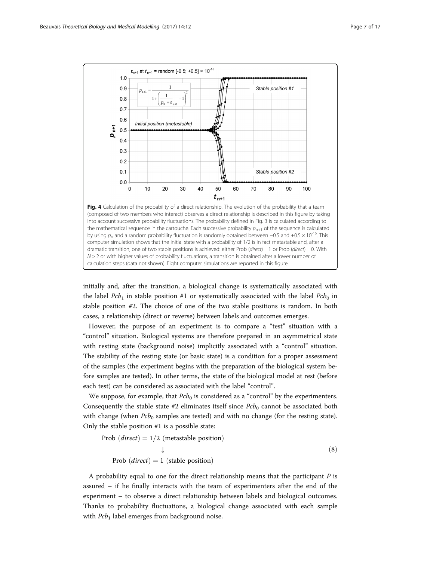<span id="page-6-0"></span>

initially and, after the transition, a biological change is systematically associated with the label  $Pcb_1$  in stable position #1 or systematically associated with the label  $Pcb_0$  in stable position #2. The choice of one of the two stable positions is random. In both cases, a relationship (direct or reverse) between labels and outcomes emerges.

However, the purpose of an experiment is to compare a "test" situation with a "control" situation. Biological systems are therefore prepared in an asymmetrical state with resting state (background noise) implicitly associated with a "control" situation. The stability of the resting state (or basic state) is a condition for a proper assessment of the samples (the experiment begins with the preparation of the biological system before samples are tested). In other terms, the state of the biological model at rest (before each test) can be considered as associated with the label "control".

We suppose, for example, that  $Pcb<sub>0</sub>$  is considered as a "control" by the experimenters. Consequently the stable state #2 eliminates itself since  $Pcb<sub>0</sub>$  cannot be associated both with change (when  $Pcb_0$  samples are tested) and with no change (for the resting state). Only the stable position #1 is a possible state:

Prob ðdirectÞ ¼ 1=2 ðmetastable positionÞ ↓ Prob ðdirectÞ ¼ 1 ðstable positionÞ ð8Þ

A probability equal to one for the direct relationship means that the participant  $P$  is assured – if he finally interacts with the team of experimenters after the end of the experiment – to observe a direct relationship between labels and biological outcomes. Thanks to probability fluctuations, a biological change associated with each sample with  $Pcb_1$  label emerges from background noise.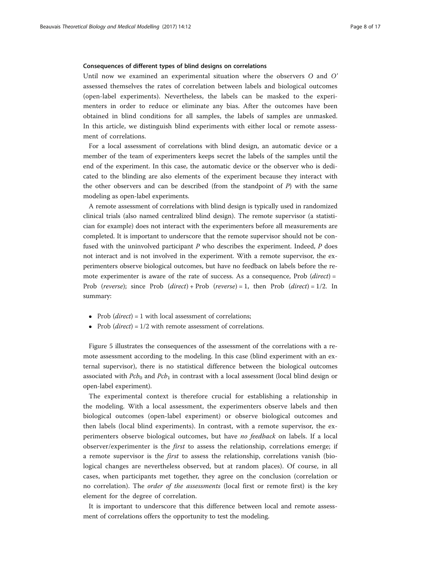#### Consequences of different types of blind designs on correlations

Until now we examined an experimental situation where the observers O and O' assessed themselves the rates of correlation between labels and biological outcomes (open-label experiments). Nevertheless, the labels can be masked to the experimenters in order to reduce or eliminate any bias. After the outcomes have been obtained in blind conditions for all samples, the labels of samples are unmasked. In this article, we distinguish blind experiments with either local or remote assessment of correlations.

For a local assessment of correlations with blind design, an automatic device or a member of the team of experimenters keeps secret the labels of the samples until the end of the experiment. In this case, the automatic device or the observer who is dedicated to the blinding are also elements of the experiment because they interact with the other observers and can be described (from the standpoint of  $P$ ) with the same modeling as open-label experiments.

A remote assessment of correlations with blind design is typically used in randomized clinical trials (also named centralized blind design). The remote supervisor (a statistician for example) does not interact with the experimenters before all measurements are completed. It is important to underscore that the remote supervisor should not be confused with the uninvolved participant  $P$  who describes the experiment. Indeed,  $P$  does not interact and is not involved in the experiment. With a remote supervisor, the experimenters observe biological outcomes, but have no feedback on labels before the remote experimenter is aware of the rate of success. As a consequence, Prob  $(direct)$ Prob (reverse); since Prob (direct) + Prob (reverse) = 1, then Prob (direct) =  $1/2$ . In summary:

- Prob  $(direct) = 1$  with local assessment of correlations;
- Prob (*direct*) =  $1/2$  with remote assessment of correlations.

Figure [5](#page-8-0) illustrates the consequences of the assessment of the correlations with a remote assessment according to the modeling. In this case (blind experiment with an external supervisor), there is no statistical difference between the biological outcomes associated with  $Pcb_0$  and  $Pcb_1$  in contrast with a local assessment (local blind design or open-label experiment).

The experimental context is therefore crucial for establishing a relationship in the modeling. With a local assessment, the experimenters observe labels and then biological outcomes (open-label experiment) or observe biological outcomes and then labels (local blind experiments). In contrast, with a remote supervisor, the experimenters observe biological outcomes, but have no feedback on labels. If a local observer/experimenter is the first to assess the relationship, correlations emerge; if a remote supervisor is the first to assess the relationship, correlations vanish (biological changes are nevertheless observed, but at random places). Of course, in all cases, when participants met together, they agree on the conclusion (correlation or no correlation). The order of the assessments (local first or remote first) is the key element for the degree of correlation.

It is important to underscore that this difference between local and remote assessment of correlations offers the opportunity to test the modeling.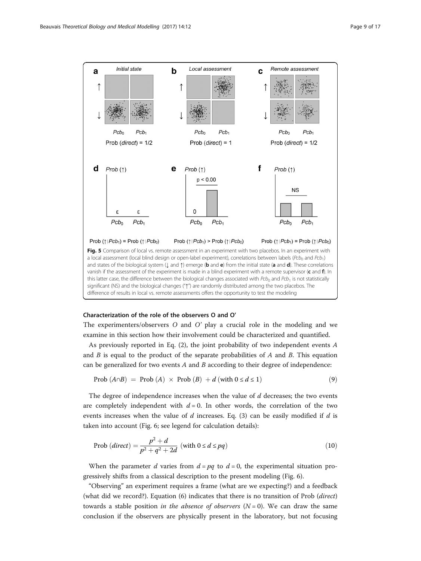<span id="page-8-0"></span>

#### Characterization of the role of the observers O and O'

The experimenters/observers O and O' play a crucial role in the modeling and we examine in this section how their involvement could be characterized and quantified.

As previously reported in Eq. ([2\)](#page-4-0), the joint probability of two independent events A and  $\hat{B}$  is equal to the product of the separate probabilities of  $\hat{A}$  and  $\hat{B}$ . This equation can be generalized for two events  $A$  and  $B$  according to their degree of independence:

$$
Prob (A \cap B) = Prob (A) \times Prob (B) + d (with 0 \le d \le 1)
$$
 (9)

The degree of independence increases when the value of  $d$  decreases; the two events are completely independent with  $d = 0$ . In other words, the correlation of the two events increases when the value of  $d$  increases. Eq. ([3\)](#page-4-0) can be easily modified if  $d$  is taken into account (Fig. [6;](#page-9-0) see legend for calculation details):

$$
Prob (direct) = \frac{p^2 + d}{p^2 + q^2 + 2d} \text{ (with } 0 \le d \le pq)
$$
\n
$$
(10)
$$

When the parameter d varies from  $d = pq$  to  $d = 0$ , the experimental situation progressively shifts from a classical description to the present modeling (Fig. [6\)](#page-9-0).

"Observing" an experiment requires a frame (what are we expecting?) and a feedback (what did we record?). Equation ([6\)](#page-5-0) indicates that there is no transition of Prob (direct) towards a stable position in the absence of observers  $(N = 0)$ . We can draw the same conclusion if the observers are physically present in the laboratory, but not focusing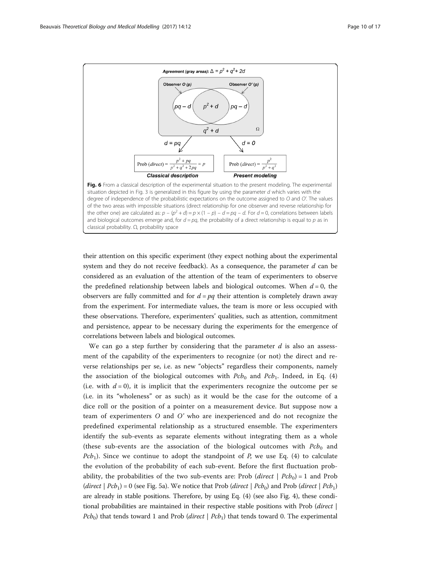<span id="page-9-0"></span>

classical probability. Ω, probability space

their attention on this specific experiment (they expect nothing about the experimental system and they do not receive feedback). As a consequence, the parameter  $d$  can be considered as an evaluation of the attention of the team of experimenters to observe the predefined relationship between labels and biological outcomes. When  $d = 0$ , the observers are fully committed and for  $d = pq$  their attention is completely drawn away from the experiment. For intermediate values, the team is more or less occupied with these observations. Therefore, experimenters' qualities, such as attention, commitment and persistence, appear to be necessary during the experiments for the emergence of correlations between labels and biological outcomes.

We can go a step further by considering that the parameter  $d$  is also an assessment of the capability of the experimenters to recognize (or not) the direct and reverse relationships per se, i.e. as new "objects" regardless their components, namely the association of the biological outcomes with  $Pcb_0$  and  $Pcb_1$ . Indeed, in Eq. [\(4](#page-5-0)) (i.e. with  $d = 0$ ), it is implicit that the experimenters recognize the outcome per se (i.e. in its "wholeness" or as such) as it would be the case for the outcome of a dice roll or the position of a pointer on a measurement device. But suppose now a team of experimenters O and O' who are inexperienced and do not recognize the predefined experimental relationship as a structured ensemble. The experimenters identify the sub-events as separate elements without integrating them as a whole (these sub-events are the association of the biological outcomes with  $Pcb<sub>0</sub>$  and  $Pcb_1$ ). Since we continue to adopt the standpoint of P, we use Eq. ([4\)](#page-5-0) to calculate the evolution of the probability of each sub-event. Before the first fluctuation probability, the probabilities of the two sub-events are: Prob (direct  $|Pcb_0|=1$  and Prob (direct  $|Pcb_1|=0$  (see Fig. [5a\)](#page-8-0). We notice that Prob (direct  $|Pcb_0|$ ) and Prob (direct  $|Pcb_1|$ ) are already in stable positions. Therefore, by using Eq. ([4\)](#page-5-0) (see also Fig. [4\)](#page-6-0), these conditional probabilities are maintained in their respective stable positions with Prob (direct |  $Pcb<sub>0</sub>$ ) that tends toward 1 and Prob (direct | Pcb<sub>1</sub>) that tends toward 0. The experimental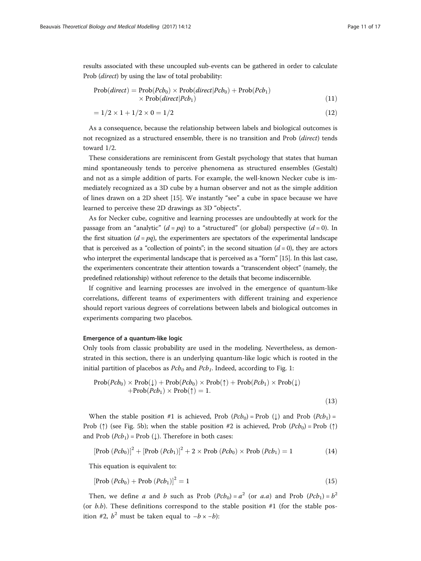results associated with these uncoupled sub-events can be gathered in order to calculate Prob (direct) by using the law of total probability:

$$
Prob(direct) = Prob(Pcb0) \times Prob(direct|Pcb0) + Prob(Pcb1) \times Prob(direct|Pcb1)
$$
\n(11)

$$
= 1/2 \times 1 + 1/2 \times 0 = 1/2
$$
\n(12)

As a consequence, because the relationship between labels and biological outcomes is not recognized as a structured ensemble, there is no transition and Prob (direct) tends toward 1/2.

These considerations are reminiscent from Gestalt psychology that states that human mind spontaneously tends to perceive phenomena as structured ensembles (Gestalt) and not as a simple addition of parts. For example, the well-known Necker cube is immediately recognized as a 3D cube by a human observer and not as the simple addition of lines drawn on a 2D sheet [[15](#page-16-0)]. We instantly "see" a cube in space because we have learned to perceive these 2D drawings as 3D "objects".

As for Necker cube, cognitive and learning processes are undoubtedly at work for the passage from an "analytic"  $(d = pq)$  to a "structured" (or global) perspective  $(d = 0)$ . In the first situation  $(d = pq)$ , the experimenters are spectators of the experimental landscape that is perceived as a "collection of points"; in the second situation  $(d = 0)$ , they are actors who interpret the experimental landscape that is perceived as a "form" [\[15\]](#page-16-0). In this last case, the experimenters concentrate their attention towards a "transcendent object" (namely, the predefined relationship) without reference to the details that become indiscernible.

If cognitive and learning processes are involved in the emergence of quantum-like correlations, different teams of experimenters with different training and experience should report various degrees of correlations between labels and biological outcomes in experiments comparing two placebos.

# Emergence of a quantum-like logic

Only tools from classic probability are used in the modeling. Nevertheless, as demonstrated in this section, there is an underlying quantum-like logic which is rooted in the initial partition of placebos as  $Pcb<sub>0</sub>$  and  $Pcb<sub>1</sub>$ . Indeed, according to Fig. [1:](#page-2-0)

$$
\text{Prob}(Pcb_0) \times \text{Prob}(\downarrow) + \text{Prob}(Pcb_0) \times \text{Prob}(\uparrow) + \text{Prob}(Pcb_1) \times \text{Prob}(\downarrow) + \text{Prob}(Pcb_1) \times \text{Prob}(\uparrow) = 1. \tag{13}
$$

When the stable position #1 is achieved, Prob  $(Pcb_0)$  = Prob ( $\downarrow$ ) and Prob  $(Pcb_1)$  = Prob ( $\uparrow$ ) (see Fig. [5b](#page-8-0)); when the stable position #2 is achieved, Prob (Pcb<sub>0</sub>) = Prob ( $\uparrow$ ) and Prob  $(Pcb_1)$  = Prob ( $\downarrow$ ). Therefore in both cases:

$$
[\text{Prob}(Pcb_0)]^2 + [\text{Prob}(Pcb_1)]^2 + 2 \times \text{Prob}(Pcb_0) \times \text{Prob}(Pcb_1) = 1 \tag{14}
$$

This equation is equivalent to:

$$
[\text{Prob}(Pcb_0) + \text{Prob}(Pcb_1)]^2 = 1\tag{15}
$$

Then, we define a and b such as Prob  $(Pcb_0) = a^2$  (or a.a) and Prob  $(Pcb_1) = b^2$ (or  $b.b$ ). These definitions correspond to the stable position #1 (for the stable position #2,  $b^2$  must be taken equal to  $-b \times -b$ ):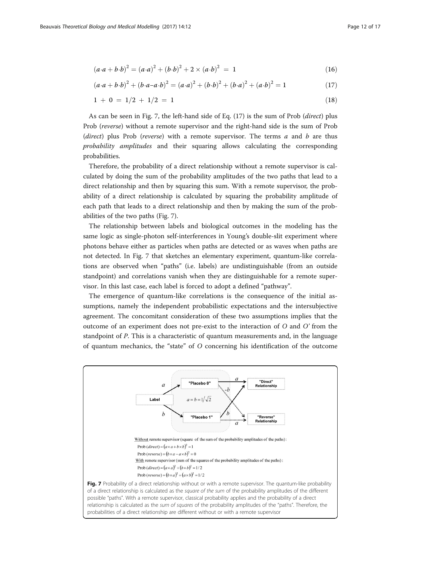<span id="page-11-0"></span>
$$
(a \cdot a + b \cdot b)^2 = (a \cdot a)^2 + (b \cdot b)^2 + 2 \times (a \cdot b)^2 = 1
$$
 (16)

$$
(a \cdot a + b \cdot b)^{2} + (b \cdot a - a \cdot b)^{2} = (a \cdot a)^{2} + (b \cdot b)^{2} + (b \cdot a)^{2} + (a \cdot b)^{2} = 1
$$
\n(17)

$$
1 + 0 = 1/2 + 1/2 = 1 \tag{18}
$$

As can be seen in Fig. 7, the left-hand side of Eq. (17) is the sum of Prob (direct) plus Prob (reverse) without a remote supervisor and the right-hand side is the sum of Prob (direct) plus Prob (reverse) with a remote supervisor. The terms  $a$  and  $b$  are thus probability amplitudes and their squaring allows calculating the corresponding probabilities.

Therefore, the probability of a direct relationship without a remote supervisor is calculated by doing the sum of the probability amplitudes of the two paths that lead to a direct relationship and then by squaring this sum. With a remote supervisor, the probability of a direct relationship is calculated by squaring the probability amplitude of each path that leads to a direct relationship and then by making the sum of the probabilities of the two paths (Fig. 7).

The relationship between labels and biological outcomes in the modeling has the same logic as single-photon self-interferences in Young's double-slit experiment where photons behave either as particles when paths are detected or as waves when paths are not detected. In Fig. 7 that sketches an elementary experiment, quantum-like correlations are observed when "paths" (i.e. labels) are undistinguishable (from an outside standpoint) and correlations vanish when they are distinguishable for a remote supervisor. In this last case, each label is forced to adopt a defined "pathway".

The emergence of quantum-like correlations is the consequence of the initial assumptions, namely the independent probabilistic expectations and the intersubjective agreement. The concomitant consideration of these two assumptions implies that the outcome of an experiment does not pre-exist to the interaction of O and O' from the standpoint of P. This is a characteristic of quantum measurements and, in the language of quantum mechanics, the "state" of O concerning his identification of the outcome

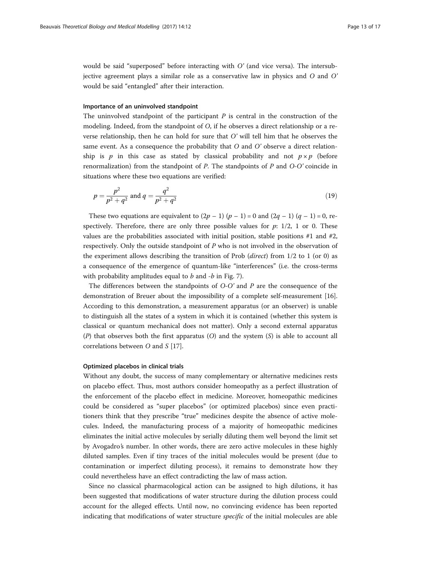would be said "superposed" before interacting with  $O'$  (and vice versa). The intersubjective agreement plays a similar role as a conservative law in physics and O and O' would be said "entangled" after their interaction.

# Importance of an uninvolved standpoint

The uninvolved standpoint of the participant  $P$  is central in the construction of the modeling. Indeed, from the standpoint of O, if he observes a direct relationship or a reverse relationship, then he can hold for sure that  $O'$  will tell him that he observes the same event. As a consequence the probability that  $O$  and  $O'$  observe a direct relationship is p in this case as stated by classical probability and not  $p \times p$  (before renormalization) from the standpoint of  $P$ . The standpoints of  $P$  and  $O-O'$  coincide in situations where these two equations are verified:

$$
p = \frac{p^2}{p^2 + q^2} \text{ and } q = \frac{q^2}{p^2 + q^2} \tag{19}
$$

These two equations are equivalent to  $(2p - 1)(p - 1) = 0$  and  $(2q - 1)(q - 1) = 0$ , respectively. Therefore, there are only three possible values for  $p: 1/2, 1$  or 0. These values are the probabilities associated with initial position, stable positions #1 and #2, respectively. Only the outside standpoint of  $P$  who is not involved in the observation of the experiment allows describing the transition of Prob (*direct*) from  $1/2$  to 1 (or 0) as a consequence of the emergence of quantum-like "interferences" (i.e. the cross-terms with probability amplitudes equal to  $b$  and  $-b$  in Fig. [7\)](#page-11-0).

The differences between the standpoints of  $O-O'$  and P are the consequence of the demonstration of Breuer about the impossibility of a complete self-measurement [[16](#page-16-0)]. According to this demonstration, a measurement apparatus (or an observer) is unable to distinguish all the states of a system in which it is contained (whether this system is classical or quantum mechanical does not matter). Only a second external apparatus  $(P)$  that observes both the first apparatus  $(O)$  and the system  $(S)$  is able to account all correlations between O and S [[17](#page-16-0)].

### Optimized placebos in clinical trials

Without any doubt, the success of many complementary or alternative medicines rests on placebo effect. Thus, most authors consider homeopathy as a perfect illustration of the enforcement of the placebo effect in medicine. Moreover, homeopathic medicines could be considered as "super placebos" (or optimized placebos) since even practitioners think that they prescribe "true" medicines despite the absence of active molecules. Indeed, the manufacturing process of a majority of homeopathic medicines eliminates the initial active molecules by serially diluting them well beyond the limit set by Avogadro's number. In other words, there are zero active molecules in these highly diluted samples. Even if tiny traces of the initial molecules would be present (due to contamination or imperfect diluting process), it remains to demonstrate how they could nevertheless have an effect contradicting the law of mass action.

Since no classical pharmacological action can be assigned to high dilutions, it has been suggested that modifications of water structure during the dilution process could account for the alleged effects. Until now, no convincing evidence has been reported indicating that modifications of water structure specific of the initial molecules are able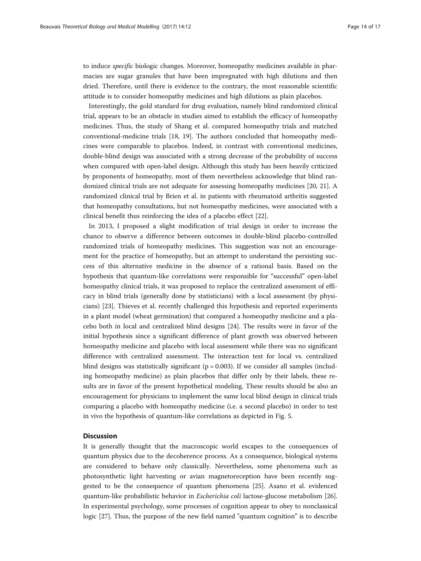to induce specific biologic changes. Moreover, homeopathy medicines available in pharmacies are sugar granules that have been impregnated with high dilutions and then dried. Therefore, until there is evidence to the contrary, the most reasonable scientific attitude is to consider homeopathy medicines and high dilutions as plain placebos.

Interestingly, the gold standard for drug evaluation, namely blind randomized clinical trial, appears to be an obstacle in studies aimed to establish the efficacy of homeopathy medicines. Thus, the study of Shang et al. compared homeopathy trials and matched conventional-medicine trials [\[18](#page-16-0), [19](#page-16-0)]. The authors concluded that homeopathy medicines were comparable to placebos. Indeed, in contrast with conventional medicines, double-blind design was associated with a strong decrease of the probability of success when compared with open-label design. Although this study has been heavily criticized by proponents of homeopathy, most of them nevertheless acknowledge that blind randomized clinical trials are not adequate for assessing homeopathy medicines [[20](#page-16-0), [21](#page-16-0)]. A randomized clinical trial by Brien et al. in patients with rheumatoid arthritis suggested that homeopathy consultations, but not homeopathy medicines, were associated with a clinical benefit thus reinforcing the idea of a placebo effect [[22](#page-16-0)].

In 2013, I proposed a slight modification of trial design in order to increase the chance to observe a difference between outcomes in double-blind placebo-controlled randomized trials of homeopathy medicines. This suggestion was not an encouragement for the practice of homeopathy, but an attempt to understand the persisting success of this alternative medicine in the absence of a rational basis. Based on the hypothesis that quantum-like correlations were responsible for "successful" open-label homeopathy clinical trials, it was proposed to replace the centralized assessment of efficacy in blind trials (generally done by statisticians) with a local assessment (by physicians) [[23\]](#page-16-0). Thieves et al. recently challenged this hypothesis and reported experiments in a plant model (wheat germination) that compared a homeopathy medicine and a placebo both in local and centralized blind designs [\[24\]](#page-16-0). The results were in favor of the initial hypothesis since a significant difference of plant growth was observed between homeopathy medicine and placebo with local assessment while there was no significant difference with centralized assessment. The interaction test for local vs. centralized blind designs was statistically significant ( $p = 0.003$ ). If we consider all samples (including homeopathy medicine) as plain placebos that differ only by their labels, these results are in favor of the present hypothetical modeling. These results should be also an encouragement for physicians to implement the same local blind design in clinical trials comparing a placebo with homeopathy medicine (i.e. a second placebo) in order to test in vivo the hypothesis of quantum-like correlations as depicted in Fig. [5](#page-8-0).

# **Discussion**

It is generally thought that the macroscopic world escapes to the consequences of quantum physics due to the decoherence process. As a consequence, biological systems are considered to behave only classically. Nevertheless, some phenomena such as photosynthetic light harvesting or avian magnetoreception have been recently suggested to be the consequence of quantum phenomena [\[25](#page-16-0)]. Asano et al. evidenced quantum-like probabilistic behavior in Escherichia coli lactose-glucose metabolism [[26](#page-16-0)]. In experimental psychology, some processes of cognition appear to obey to nonclassical logic [\[27\]](#page-16-0). Thus, the purpose of the new field named "quantum cognition" is to describe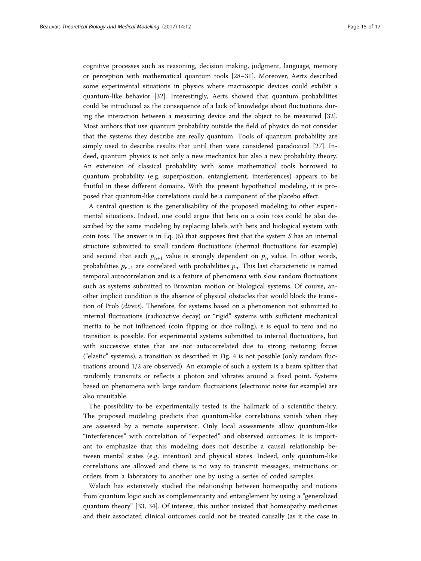cognitive processes such as reasoning, decision making, judgment, language, memory or perception with mathematical quantum tools [[28](#page-16-0)–[31](#page-16-0)]. Moreover, Aerts described some experimental situations in physics where macroscopic devices could exhibit a quantum-like behavior [\[32](#page-16-0)]. Interestingly, Aerts showed that quantum probabilities could be introduced as the consequence of a lack of knowledge about fluctuations during the interaction between a measuring device and the object to be measured [[32](#page-16-0)]. Most authors that use quantum probability outside the field of physics do not consider that the systems they describe are really quantum. Tools of quantum probability are simply used to describe results that until then were considered paradoxical [[27\]](#page-16-0). Indeed, quantum physics is not only a new mechanics but also a new probability theory. An extension of classical probability with some mathematical tools borrowed to quantum probability (e.g. superposition, entanglement, interferences) appears to be fruitful in these different domains. With the present hypothetical modeling, it is proposed that quantum-like correlations could be a component of the placebo effect.

A central question is the generalisability of the proposed modeling to other experimental situations. Indeed, one could argue that bets on a coin toss could be also described by the same modeling by replacing labels with bets and biological system with coin toss. The answer is in Eq.  $(6)$  $(6)$  that supposes first that the system S has an internal structure submitted to small random fluctuations (thermal fluctuations for example) and second that each  $p_{n+1}$  value is strongly dependent on  $p_n$  value. In other words, probabilities  $p_{n+1}$  are correlated with probabilities  $p_n$ . This last characteristic is named temporal autocorrelation and is a feature of phenomena with slow random fluctuations such as systems submitted to Brownian motion or biological systems. Of course, another implicit condition is the absence of physical obstacles that would block the transition of Prob (direct). Therefore, for systems based on a phenomenon not submitted to internal fluctuations (radioactive decay) or "rigid" systems with sufficient mechanical inertia to be not influenced (coin flipping or dice rolling),  $\varepsilon$  is equal to zero and no transition is possible. For experimental systems submitted to internal fluctuations, but with successive states that are not autocorrelated due to strong restoring forces ("elastic" systems), a transition as described in Fig. [4](#page-6-0) is not possible (only random fluctuations around 1/2 are observed). An example of such a system is a beam splitter that randomly transmits or reflects a photon and vibrates around a fixed point. Systems based on phenomena with large random fluctuations (electronic noise for example) are also unsuitable.

The possibility to be experimentally tested is the hallmark of a scientific theory. The proposed modeling predicts that quantum-like correlations vanish when they are assessed by a remote supervisor. Only local assessments allow quantum-like "interferences" with correlation of "expected" and observed outcomes. It is important to emphasize that this modeling does not describe a causal relationship between mental states (e.g. intention) and physical states. Indeed, only quantum-like correlations are allowed and there is no way to transmit messages, instructions or orders from a laboratory to another one by using a series of coded samples.

Walach has extensively studied the relationship between homeopathy and notions from quantum logic such as complementarity and entanglement by using a "generalized quantum theory" [[33](#page-16-0), [34\]](#page-16-0). Of interest, this author insisted that homeopathy medicines and their associated clinical outcomes could not be treated causally (as it the case in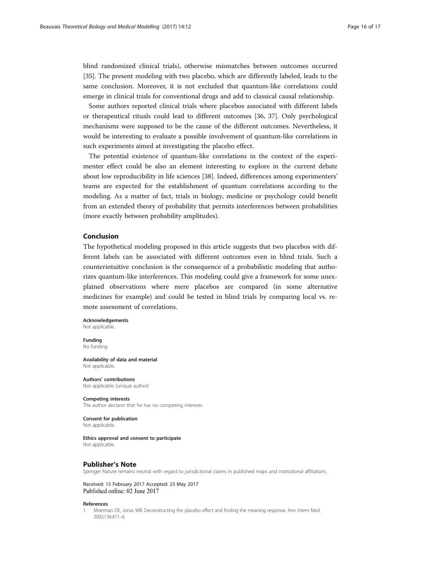<span id="page-15-0"></span>blind randomized clinical trials), otherwise mismatches between outcomes occurred [[35\]](#page-16-0). The present modeling with two placebo, which are differently labeled, leads to the same conclusion. Moreover, it is not excluded that quantum-like correlations could emerge in clinical trials for conventional drugs and add to classical causal relationship.

Some authors reported clinical trials where placebos associated with different labels or therapeutical rituals could lead to different outcomes [\[36](#page-16-0), [37](#page-16-0)]. Only psychological mechanisms were supposed to be the cause of the different outcomes. Nevertheless, it would be interesting to evaluate a possible involvement of quantum-like correlations in such experiments aimed at investigating the placebo effect.

The potential existence of quantum-like correlations in the context of the experimenter effect could be also an element interesting to explore in the current debate about low reproducibility in life sciences [\[38\]](#page-16-0). Indeed, differences among experimenters' teams are expected for the establishment of quantum correlations according to the modeling. As a matter of fact, trials in biology, medicine or psychology could benefit from an extended theory of probability that permits interferences between probabilities (more exactly between probability amplitudes).

# Conclusion

The hypothetical modeling proposed in this article suggests that two placebos with different labels can be associated with different outcomes even in blind trials. Such a counterintuitive conclusion is the consequence of a probabilistic modeling that authorizes quantum-like interferences. This modeling could give a framework for some unexplained observations where mere placebos are compared (in some alternative medicines for example) and could be tested in blind trials by comparing local vs. remote assessment of correlations.

Acknowledgements Not applicable.

Funding No funding

Availability of data and material Not applicable.

Authors' contributions Not applicable (unique author)

Competing interests The author declares that he has no competing interests

Consent for publication Not applicable.

Ethics approval and consent to participate Not applicable.

# Publisher's Note

Springer Nature remains neutral with regard to jurisdictional claims in published maps and institutional affiliations.

Received: 15 February 2017 Accepted: 25 May 2017 Published online: 02 June 2017

#### References

1. Moerman DE, Jonas WB. Deconstructing the placebo effect and finding the meaning response. Ann Intern Med. 2002;136:471–6.